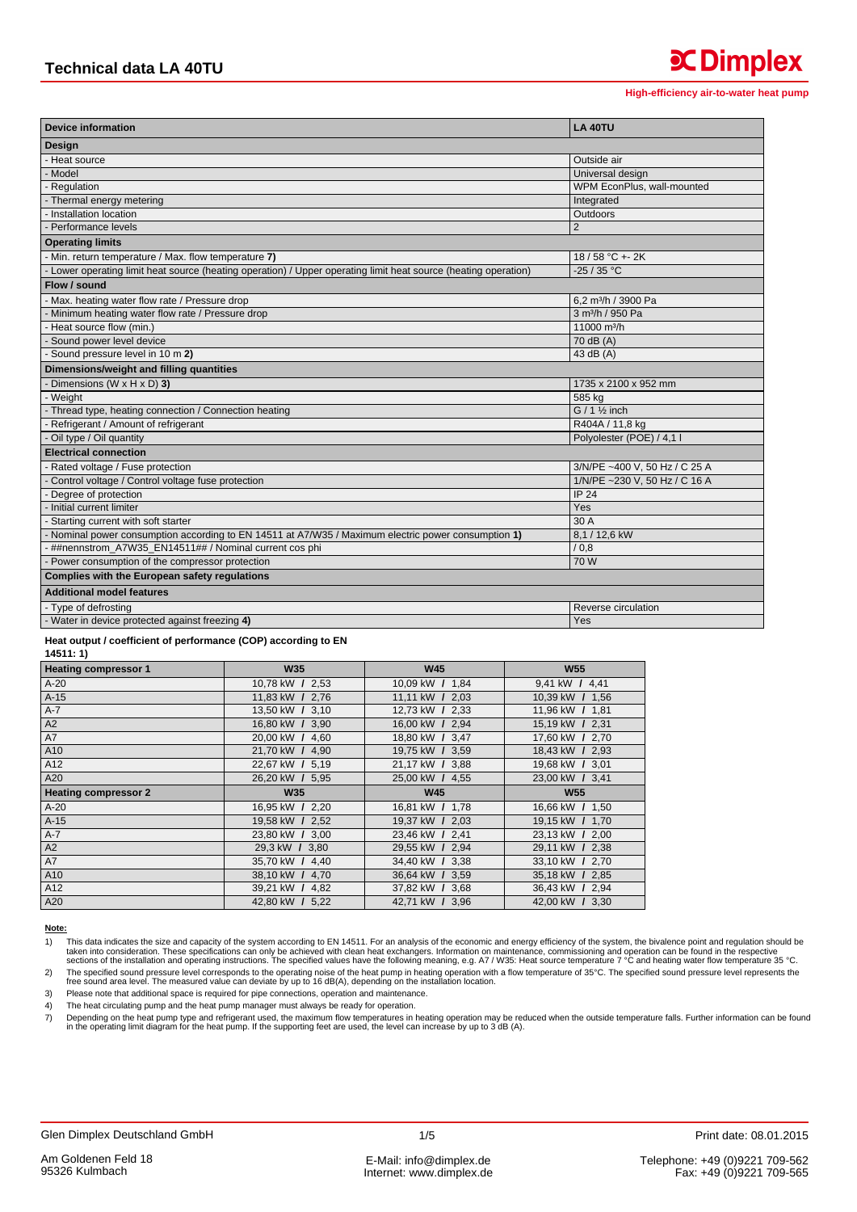**C**Dimplex

| <b>Device information</b>                                                                                       | <b>LA 40TU</b>                  |  |  |  |
|-----------------------------------------------------------------------------------------------------------------|---------------------------------|--|--|--|
| <b>Design</b>                                                                                                   |                                 |  |  |  |
| - Heat source                                                                                                   | Outside air                     |  |  |  |
| - Model                                                                                                         | Universal design                |  |  |  |
| - Regulation                                                                                                    | WPM EconPlus, wall-mounted      |  |  |  |
| - Thermal energy metering                                                                                       | Integrated                      |  |  |  |
| - Installation location                                                                                         | Outdoors                        |  |  |  |
| - Performance levels                                                                                            | $\overline{2}$                  |  |  |  |
| <b>Operating limits</b>                                                                                         |                                 |  |  |  |
| - Min. return temperature / Max. flow temperature 7)                                                            | 18 / 58 °C + - 2K               |  |  |  |
| - Lower operating limit heat source (heating operation) / Upper operating limit heat source (heating operation) | $-25/35 °C$                     |  |  |  |
| Flow / sound                                                                                                    |                                 |  |  |  |
| - Max. heating water flow rate / Pressure drop                                                                  | 6,2 m <sup>3</sup> /h / 3900 Pa |  |  |  |
| - Minimum heating water flow rate / Pressure drop                                                               | 3 m <sup>3</sup> /h / 950 Pa    |  |  |  |
| - Heat source flow (min.)                                                                                       | 11000 m <sup>3</sup> /h         |  |  |  |
| Sound power level device                                                                                        | 70 dB (A)                       |  |  |  |
| Sound pressure level in 10 m 2)                                                                                 | 43 dB (A)                       |  |  |  |
| Dimensions/weight and filling quantities                                                                        |                                 |  |  |  |
| Dimensions (W $\times$ H $\times$ D) 3)                                                                         | 1735 x 2100 x 952 mm            |  |  |  |
| - Weight                                                                                                        | 585 kg                          |  |  |  |
| Thread type, heating connection / Connection heating                                                            | $G / 1$ % inch                  |  |  |  |
| Refrigerant / Amount of refrigerant                                                                             | R404A / 11,8 kg                 |  |  |  |
| Oil type / Oil quantity                                                                                         | Polyolester (POE) / 4,1 l       |  |  |  |
| <b>Electrical connection</b>                                                                                    |                                 |  |  |  |
| Rated voltage / Fuse protection                                                                                 | 3/N/PE ~400 V, 50 Hz / C 25 A   |  |  |  |
| Control voltage / Control voltage fuse protection                                                               | 1/N/PE ~230 V, 50 Hz / C 16 A   |  |  |  |
| Degree of protection                                                                                            | <b>IP 24</b>                    |  |  |  |
| - Initial current limiter                                                                                       | Yes                             |  |  |  |
| Starting current with soft starter                                                                              | 30A                             |  |  |  |
| - Nominal power consumption according to EN 14511 at A7/W35 / Maximum electric power consumption 1)             | 8,1 / 12,6 kW                   |  |  |  |
| - ##nennstrom A7W35 EN14511## / Nominal current cos phi                                                         | / 0.8                           |  |  |  |
| Power consumption of the compressor protection                                                                  | 70 W                            |  |  |  |
| Complies with the European safety regulations                                                                   |                                 |  |  |  |
| <b>Additional model features</b>                                                                                |                                 |  |  |  |
| - Type of defrosting                                                                                            | Reverse circulation             |  |  |  |
| - Water in device protected against freezing 4)                                                                 | Yes                             |  |  |  |

## Heat output / coefficient of performance (COP) according to EN

 $14511:1)$ 

| <b>Heating compressor 1</b> | <b>W35</b>      | <b>W45</b>              | <b>W55</b>      |
|-----------------------------|-----------------|-------------------------|-----------------|
| $A-20$                      | 10,78 kW / 2,53 | 10,09 kW /<br>1,84      | 9,41 kW / 4,41  |
| $A-15$                      | 11,83 kW / 2,76 | 11,11 kW $\,$ /<br>2,03 | 10,39 kW / 1,56 |
| $A-7$                       | 13,50 kW / 3,10 | 12,73 kW /<br>2,33      | 11,96 kW / 1,81 |
| A2                          | 16,80 kW / 3,90 | 16,00 kW /<br>2,94      | 15,19 kW / 2,31 |
| A7                          | 20,00 kW / 4,60 | 18,80 kW /<br>3,47      | 17,60 kW / 2,70 |
| A10                         | 21,70 kW / 4,90 | 19,75 kW /<br>3,59      | 18,43 kW / 2,93 |
| A12                         | 22,67 kW / 5,19 | 21,17 kW /<br>3,88      | 19,68 kW / 3,01 |
| A20                         | 26,20 kW / 5,95 | 25,00 kW / 4,55         | 23,00 kW / 3,41 |
| <b>Heating compressor 2</b> | <b>W35</b>      | <b>W45</b>              | <b>W55</b>      |
| $A-20$                      | 16,95 kW / 2,20 | 16,81 kW / 1,78         | 16,66 kW / 1,50 |
| $A-15$                      | 19.58 kW / 2.52 | 19.37 kW / 2.03         | 19,15 kW / 1,70 |
| $A-7$                       | 23.80 kW / 3.00 | 23,46 kW / 2,41         | 23,13 kW / 2,00 |
| A2                          | 29.3 kW / 3.80  | 29,55 kW /<br>2,94      | 29,11 kW / 2,38 |
| A7                          | 35.70 kW / 4.40 | 34,40 kW /<br>3,38      | 33,10 kW / 2,70 |
| A10                         | 38,10 kW / 4,70 | 36.64 kW /<br>3,59      | 35,18 kW / 2,85 |
| A12                         | 39.21 kW / 4.82 | 37,82 kW /<br>3,68      | 36,43 kW / 2,94 |
| A20                         | 42.80 kW / 5.22 | 42.71 kW / 3.96         | 42,00 kW / 3,30 |

## Note:

This data indicates the size and capacity of the system according to EN 14511. For an analysis of the economic and energy efficiency of the system, the bivalence point and regulation should be<br>taken into consideration. The  $1)$  $2)$ 

The specified sound pressure level corresponds to the operating noise of the heat pump in heating operation with a flow temperature of 35°C. The specified sound pressure level represents the free sound area level. The meas  $3)$ 

Please note that additional space is required for pipe connections, operation and maintenance.

The heat circulating pump and the heat pump manager must always be ready for operation.  $4)$ 

Depending on the heat pump type and refrigerant used, the maximum flow temperatures in heating operation may be reduced when the outside temperature falls. Further information can be found<br>in the operating limit diagram fo  $\overline{7}$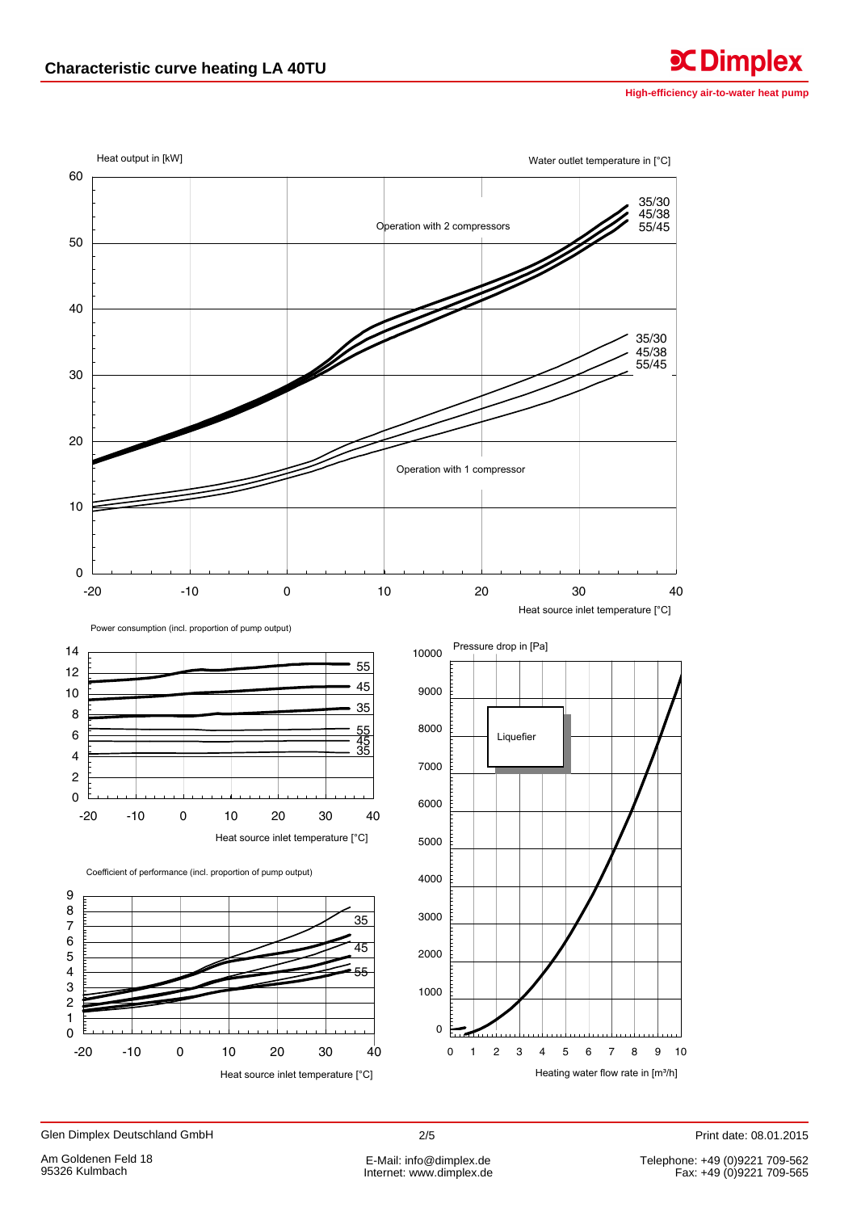High-efficiency air-to-water heat pump

**CDimplex** 



Glen Dimplex Deutschland GmbH

E-Mail: info@dimplex.de Internet: www.dimplex.de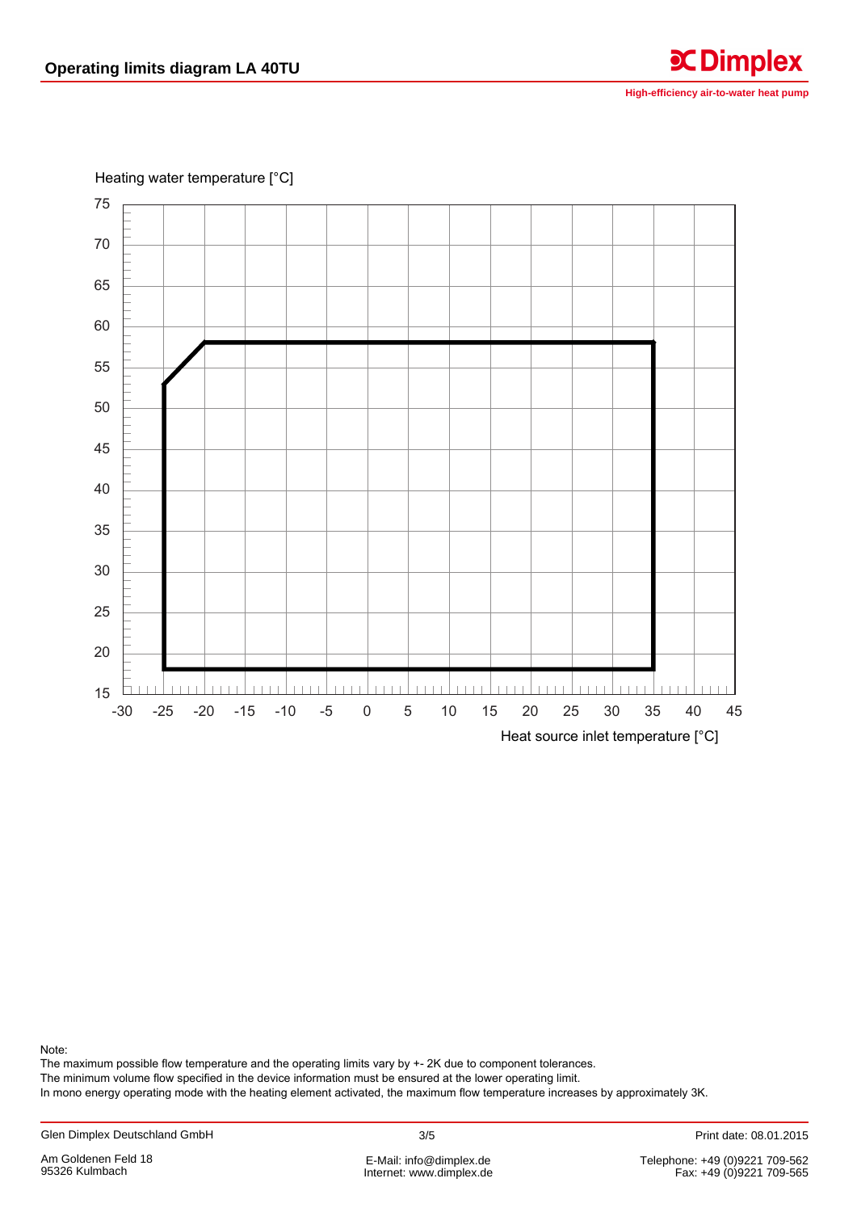**High-efficiency air-to-water heat pump** 

**C**Dimplex

75 70 65 60 55 50 45 40 35 30 25 20 15 -30 -25 -20 -15 -10 -5 0 5 10 15 20 25 30 35 40 45 Heat source inlet temperature [°C]

Heating water temperature [°C]

Note:

The maximum possible flow temperature and the operating limits vary by +- 2K due to component tolerances.

The minimum volume flow specified in the device information must be ensured at the lower operating limit.

In mono energy operating mode with the heating element activated, the maximum flow temperature increases by approximately 3K.

Internet: www.dimplex.de

Print date: 08.01.2015

Fax: +49 (0)9221 709-565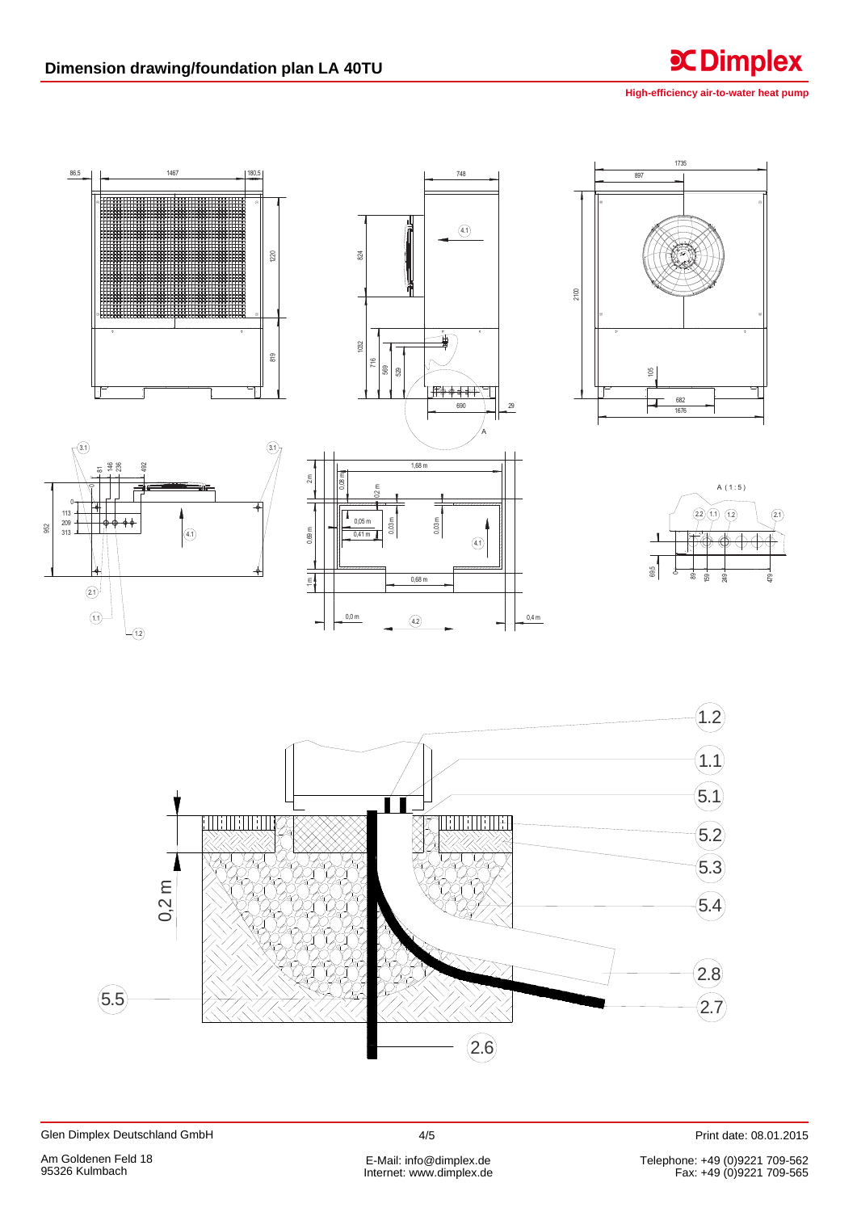High-efficiency air-to-water heat pump

**CDimplex** 



 $4/5$ 

 $(2.6)$ 

Print date: 08.01.2015